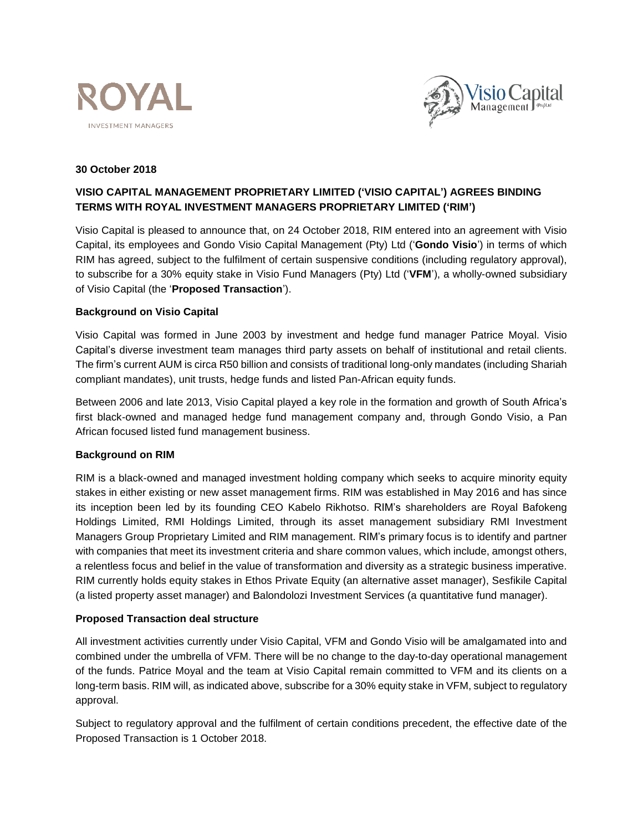



#### **30 October 2018**

# **VISIO CAPITAL MANAGEMENT PROPRIETARY LIMITED ('VISIO CAPITAL') AGREES BINDING TERMS WITH ROYAL INVESTMENT MANAGERS PROPRIETARY LIMITED ('RIM')**

Visio Capital is pleased to announce that, on 24 October 2018, RIM entered into an agreement with Visio Capital, its employees and Gondo Visio Capital Management (Pty) Ltd ('**Gondo Visio**') in terms of which RIM has agreed, subject to the fulfilment of certain suspensive conditions (including regulatory approval), to subscribe for a 30% equity stake in Visio Fund Managers (Pty) Ltd ('**VFM**'), a wholly-owned subsidiary of Visio Capital (the '**Proposed Transaction**').

## **Background on Visio Capital**

Visio Capital was formed in June 2003 by investment and hedge fund manager Patrice Moyal. Visio Capital's diverse investment team manages third party assets on behalf of institutional and retail clients. The firm's current AUM is circa R50 billion and consists of traditional long-only mandates (including Shariah compliant mandates), unit trusts, hedge funds and listed Pan-African equity funds.

Between 2006 and late 2013, Visio Capital played a key role in the formation and growth of South Africa's first black-owned and managed hedge fund management company and, through Gondo Visio, a Pan African focused listed fund management business.

#### **Background on RIM**

RIM is a black-owned and managed investment holding company which seeks to acquire minority equity stakes in either existing or new asset management firms. RIM was established in May 2016 and has since its inception been led by its founding CEO Kabelo Rikhotso. RIM's shareholders are Royal Bafokeng Holdings Limited, RMI Holdings Limited, through its asset management subsidiary RMI Investment Managers Group Proprietary Limited and RIM management. RIM's primary focus is to identify and partner with companies that meet its investment criteria and share common values, which include, amongst others, a relentless focus and belief in the value of transformation and diversity as a strategic business imperative. RIM currently holds equity stakes in Ethos Private Equity (an alternative asset manager), Sesfikile Capital (a listed property asset manager) and Balondolozi Investment Services (a quantitative fund manager).

# **Proposed Transaction deal structure**

All investment activities currently under Visio Capital, VFM and Gondo Visio will be amalgamated into and combined under the umbrella of VFM. There will be no change to the day-to-day operational management of the funds. Patrice Moyal and the team at Visio Capital remain committed to VFM and its clients on a long-term basis. RIM will, as indicated above, subscribe for a 30% equity stake in VFM, subject to regulatory approval.

Subject to regulatory approval and the fulfilment of certain conditions precedent, the effective date of the Proposed Transaction is 1 October 2018.